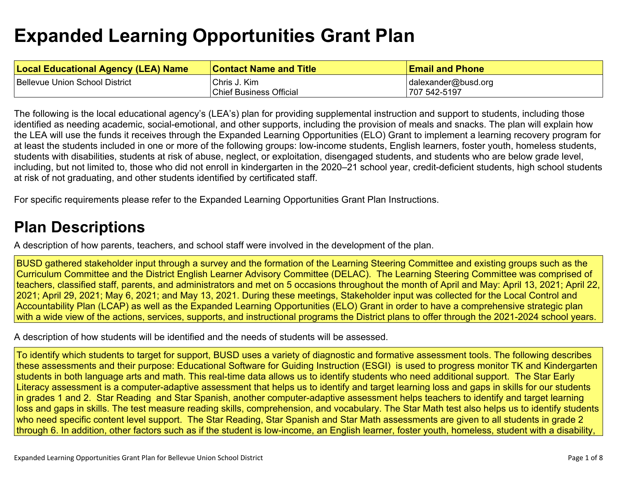# **Expanded Learning [Opportunities](#page-4-0) Grant Plan**

| <b>Local Educational Agency (LEA) Name</b> | <b>Contact Name and Title</b> | <b>Email and Phone</b> |
|--------------------------------------------|-------------------------------|------------------------|
| Bellevue Union School District             | Chris J. Kim                  | dalexander@busd.org    |
|                                            | Chief Business Official       | 707 542-5197           |

The following is the local educational agency's (LEA's) plan for providing supplemental instruction and support to students, including those identified as needing academic, social-emotional, and other supports, including the provision of meals and snacks. The plan will explain how the LEA will use the funds it receives through the Expanded Learning Opportunities (ELO) Grant to implement a learning recovery program for at least the students included in one or more of the following groups: low-income students, English learners, foster youth, homeless students, students with disabilities, students at risk of abuse, neglect, or exploitation, disengaged students, and students who are below grade level, including, but not limited to, those who did not enroll in kindergarten in the 2020–21 school year, credit-deficient students, high school students at risk of not graduating, and other students identified by certificated staff.

For specific requirements please refer to the Expanded Learning Opportunities Grant Plan Instructions.

## **Plan [Descriptions](#page-6-0)**

A description of how parents, teachers, and school staff were involved in the [development](#page-6-1) of the plan.

BUSD gathered stakeholder input through a survey and the formation of the Learning Steering Committee and existing groups such as the Curriculum Committee and the District English Learner Advisory Committee (DELAC). The Learning Steering Committee was comprised of teachers, classified staff, parents, and administrators and met on 5 occasions throughout the month of April and May: April 13, 2021; April 22, 2021; April 29, 2021; May 6, 2021; and May 13, 2021. During these meetings, Stakeholder input was collected for the Local Control and Accountability Plan (LCAP) as well as the Expanded Learning Opportunities (ELO) Grant in order to have a comprehensive strategic plan with a wide view of the actions, services, supports, and instructional programs the District plans to offer through the 2021-2024 school years.

A [description](#page-6-2) of how students will be identified and the needs of students will be assessed[.](#page-6-2)

To identify which students to target for support, BUSD uses a variety of diagnostic and formative assessment tools. The following describes these assessments and their purpose: Educational Software for Guiding Instruction (ESGI) is used to progress monitor TK and Kindergarten students in both language arts and math. This real-time data allows us to identify students who need additional support. The Star Early Literacy assessment is a computer-adaptive assessment that helps us to identify and target learning loss and gaps in skills for our students in grades 1 and 2. Star Reading and Star Spanish, another computer-adaptive assessment helps teachers to identify and target learning loss and gaps in skills. The test measure reading skills, comprehension, and vocabulary. The Star Math test also helps us to identify students who need specific content level support. The Star Reading, Star Spanish and Star Math assessments are given to all students in grade 2 through 6. In addition, other factors such as if the student is low-income, an English learner, foster youth, homeless, student with a disability,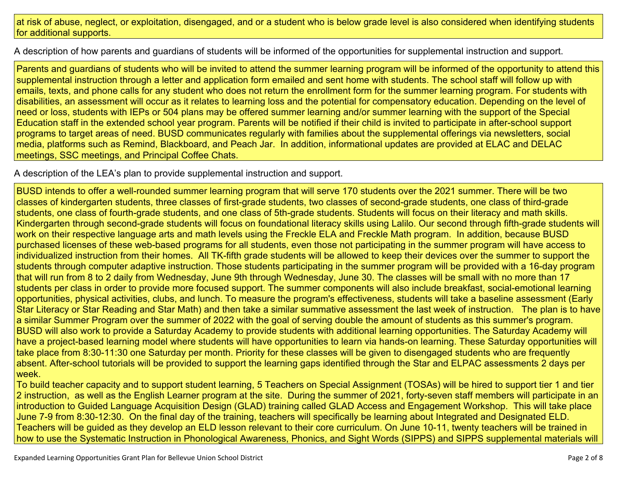#### at risk of abuse, neglect, or exploitation, disengaged, and or a student who is below grade level is also considered when identifying students for additional supports.

A description of how parents and guardians of students will be informed of the opportunities for [supplemental](#page-6-3) instruction and support[.](#page-6-3)

Parents and guardians of students who will be invited to attend the summer learning program will be informed of the opportunity to attend this supplemental instruction through a letter and application form emailed and sent home with students. The school staff will follow up with emails, texts, and phone calls for any student who does not return the enrollment form for the summer learning program. For students with disabilities, an assessment will occur as it relates to learning loss and the potential for compensatory education. Depending on the level of need or loss, students with IEPs or 504 plans may be offered summer learning and/or summer learning with the support of the Special Education staff in the extended school year program. Parents will be notified if their child is invited to participate in after-school support programs to target areas of need. BUSD communicates regularly with families about the supplemental offerings via newsletters, social media, platforms such as Remind, Blackboard, and Peach Jar. In addition, informational updates are provided at ELAC and DELAC meetings, SSC meetings, and Principal Coffee Chats.

A description of the LEA's plan to provide [supplemental](#page-6-4) instruction and support[.](#page-6-4)

BUSD intends to offer a well-rounded summer learning program that will serve 170 students over the 2021 summer. There will be two classes of kindergarten students, three classes of first-grade students, two classes of second-grade students, one class of third-grade students, one class of fourth-grade students, and one class of 5th-grade students. Students will focus on their literacy and math skills. Kindergarten through second-grade students will focus on foundational literacy skills using Lalilo. Our second through fifth-grade students will work on their respective language arts and math levels using the Freckle ELA and Freckle Math program. In addition, because BUSD purchased licenses of these web-based programs for all students, even those not participating in the summer program will have access to individualized instruction from their homes. All TK-fifth grade students will be allowed to keep their devices over the summer to support the students through computer adaptive instruction. Those students participating in the summer program will be provided with a 16-day program that will run from 8 to 2 daily from Wednesday, June 9th through Wednesday, June 30. The classes will be small with no more than 17 students per class in order to provide more focused support. The summer components will also include breakfast, social-emotional learning opportunities, physical activities, clubs, and lunch. To measure the program's effectiveness, students will take a baseline assessment (Early Star Literacy or Star Reading and Star Math) and then take a similar summative assessment the last week of instruction. The plan is to have a similar Summer Program over the summer of 2022 with the goal of serving double the amount of students as this summer's program. BUSD will also work to provide a Saturday Academy to provide students with additional learning opportunities. The Saturday Academy will have a project-based learning model where students will have opportunities to learn via hands-on learning. These Saturday opportunities will take place from 8:30-11:30 one Saturday per month. Priority for these classes will be given to disengaged students who are frequently absent. After-school tutorials will be provided to support the learning gaps identified through the Star and ELPAC assessments 2 days per week.

To build teacher capacity and to support student learning, 5 Teachers on Special Assignment (TOSAs) will be hired to support tier 1 and tier 2 instruction, as well as the English Learner program at the site. During the summer of 2021, forty-seven staff members will participate in an introduction to Guided Language Acquisition Design (GLAD) training called GLAD Access and Engagement Workshop. This will take place June 7-9 from 8:30-12:30. On the final day of the training, teachers will specifically be learning about Integrated and Designated ELD. Teachers will be guided as they develop an ELD lesson relevant to their core curriculum. On June 10-11, twenty teachers will be trained in how to use the Systematic Instruction in Phonological Awareness, Phonics, and Sight Words (SIPPS) and SIPPS supplemental materials will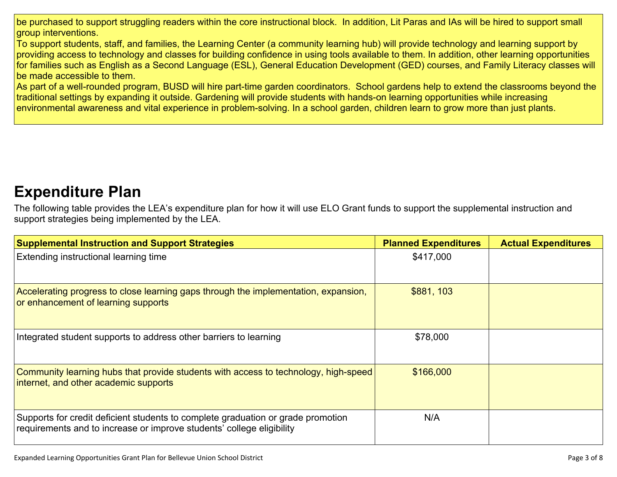be purchased to support struggling readers within the core instructional block. In addition, Lit Paras and IAs will be hired to support small group interventions.

To support students, staff, and families, the Learning Center (a community learning hub) will provide technology and learning support by providing access to technology and classes for building confidence in using tools available to them. In addition, other learning opportunities for families such as English as a Second Language (ESL), General Education Development (GED) courses, and Family Literacy classes will be made accessible to them.

As part of a well-rounded program, BUSD will hire part-time garden coordinators. School gardens help to extend the classrooms beyond the traditional settings by expanding it outside. Gardening will provide students with hands-on learning opportunities while increasing environmental awareness and vital experience in problem-solving. In a school garden, children learn to grow more than just plants.

### **[Expenditure](#page-7-0) Pla[n](#page-7-0)**

The following table provides the LEA's expenditure plan for how it will use ELO Grant funds to support the supplemental instruction and support strategies being implemented by the LEA.

| <b>Supplemental Instruction and Support Strategies</b>                                                                                                    | <b>Planned Expenditures</b> | <b>Actual Expenditures</b> |
|-----------------------------------------------------------------------------------------------------------------------------------------------------------|-----------------------------|----------------------------|
| Extending instructional learning time                                                                                                                     | \$417,000                   |                            |
| Accelerating progress to close learning gaps through the implementation, expansion,<br>or enhancement of learning supports                                | \$881, 103                  |                            |
| Integrated student supports to address other barriers to learning                                                                                         | \$78,000                    |                            |
| Community learning hubs that provide students with access to technology, high-speed<br>internet, and other academic supports                              | \$166,000                   |                            |
| Supports for credit deficient students to complete graduation or grade promotion<br>requirements and to increase or improve students' college eligibility | N/A                         |                            |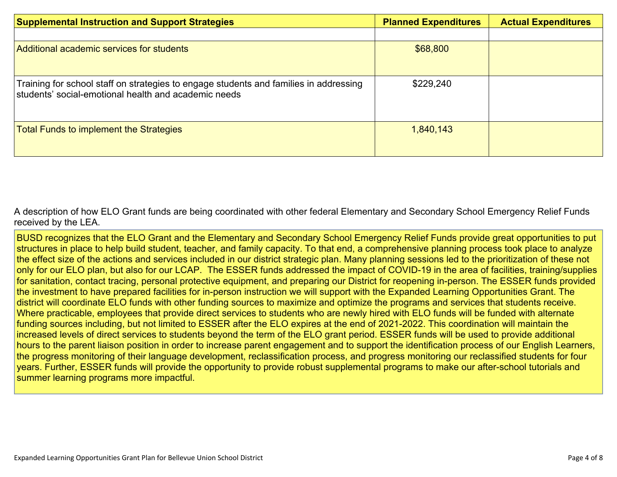| <b>Supplemental Instruction and Support Strategies</b>                                                                                        | <b>Planned Expenditures</b> | <b>Actual Expenditures</b> |
|-----------------------------------------------------------------------------------------------------------------------------------------------|-----------------------------|----------------------------|
|                                                                                                                                               |                             |                            |
| Additional academic services for students                                                                                                     | \$68,800                    |                            |
| Training for school staff on strategies to engage students and families in addressing<br>students' social-emotional health and academic needs | \$229,240                   |                            |
| <b>Total Funds to implement the Strategies</b>                                                                                                | 1,840,143                   |                            |

A description of how [E](#page-7-1)LO Grant funds are being [coordinated](#page-7-1) with other federal Elementary and Secondary School Emergency Relief Funds [received](#page-7-1) by the LEA.

BUSD recognizes that the ELO Grant and the Elementary and Secondary School Emergency Relief Funds provide great opportunities to put structures in place to help build student, teacher, and family capacity. To that end, a comprehensive planning process took place to analyze the effect size of the actions and services included in our district strategic plan. Many planning sessions led to the prioritization of these not only for our ELO plan, but also for our LCAP. The ESSER funds addressed the impact of COVID-19 in the area of facilities, training/supplies for sanitation, contact tracing, personal protective equipment, and preparing our District for reopening in-person. The ESSER funds provided the investment to have prepared facilities for in-person instruction we will support with the Expanded Learning Opportunities Grant. The district will coordinate ELO funds with other funding sources to maximize and optimize the programs and services that students receive. Where practicable, employees that provide direct services to students who are newly hired with ELO funds will be funded with alternate funding sources including, but not limited to ESSER after the ELO expires at the end of 2021-2022. This coordination will maintain the increased levels of direct services to students beyond the term of the ELO grant period. ESSER funds will be used to provide additional hours to the parent liaison position in order to increase parent engagement and to support the identification process of our English Learners, the progress monitoring of their language development, reclassification process, and progress monitoring our reclassified students for four years. Further, ESSER funds will provide the opportunity to provide robust supplemental programs to make our after-school tutorials and summer learning programs more impactful.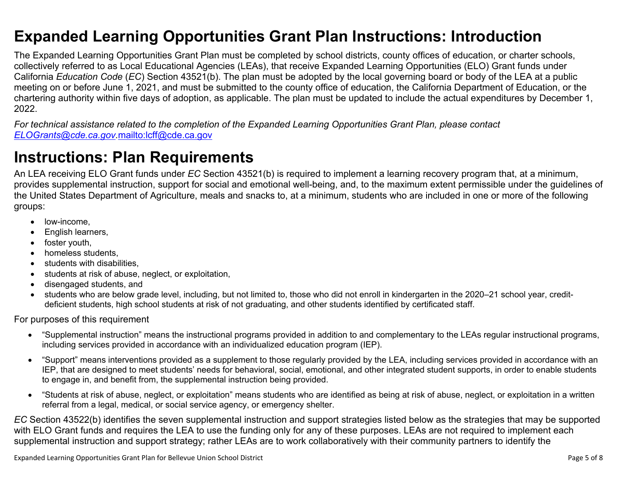### <span id="page-4-0"></span>**Expanded Learning Opportunities Grant Plan Instructions: Introduction**

The Expanded Learning Opportunities Grant Plan must be completed by school districts, county offices of education, or charter schools, collectively referred to as Local Educational Agencies (LEAs), that receive Expanded Learning Opportunities (ELO) Grant funds under California *Education Code* (*EC*) Section 43521(b). The plan must be adopted by the local governing board or body of the LEA at a public meeting on or before June 1, 2021, and must be submitted to the county office of education, the California Department of Education, or the chartering authority within five days of adoption, as applicable. The plan must be updated to include the actual expenditures by December 1, 2022.

For technical assistance related to the completion of the Expanded Learning Opportunities Grant Plan, please contact *[ELOGrants@cde.ca.gov](mailto:ELOGrants@cde.ca.gov).*<mailto:lcff@cde.ca.gov>

## **Instructions: Plan Requirements**

An LEA receiving ELO Grant funds under *EC* Section 43521(b) is required to implement a learning recovery program that, at a minimum, provides supplemental instruction, support for social and emotional well-being, and, to the maximum extent permissible under the guidelines of the United States Department of Agriculture, meals and snacks to, at a minimum, students who are included in one or more of the following groups:

- low-income.
- English learners,
- foster youth,
- homeless students,
- students with disabilities.
- students at risk of abuse, neglect, or exploitation,
- disengaged students, and
- students who are below grade level, including, but not limited to, those who did not enroll in kindergarten in the 2020–21 school year, creditdeficient students, high school students at risk of not graduating, and other students identified by certificated staff.

For purposes of this requirement

- "Supplemental instruction" means the instructional programs provided in addition to and complementary to the LEAs regular instructional programs, including services provided in accordance with an individualized education program (IEP).
- "Support" means interventions provided as a supplement to those regularly provided by the LEA, including services provided in accordance with an IEP, that are designed to meet students' needs for behavioral, social, emotional, and other integrated student supports, in order to enable students to engage in, and benefit from, the supplemental instruction being provided.
- "Students at risk of abuse, neglect, or exploitation" means students who are identified as being at risk of abuse, neglect, or exploitation in a written referral from a legal, medical, or social service agency, or emergency shelter.

*EC* Section 43522(b) identifies the seven supplemental instruction and support strategies listed below as the strategies that may be supported with ELO Grant funds and requires the LEA to use the funding only for any of these purposes. LEAs are not required to implement each supplemental instruction and support strategy; rather LEAs are to work collaboratively with their community partners to identify the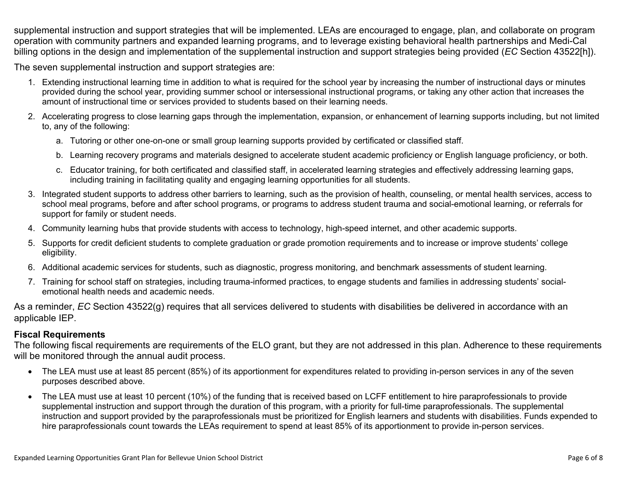supplemental instruction and support strategies that will be implemented. LEAs are encouraged to engage, plan, and collaborate on program operation with community partners and expanded learning programs, and to leverage existing behavioral health partnerships and Medi-Cal billing options in the design and implementation of the supplemental instruction and support strategies being provided (*EC* Section 43522[h]).

The seven supplemental instruction and support strategies are:

- 1. Extending instructional learning time in addition to what is required for the school year by increasing the number of instructional days or minutes provided during the school year, providing summer school or intersessional instructional programs, or taking any other action that increases the amount of instructional time or services provided to students based on their learning needs.
- 2. Accelerating progress to close learning gaps through the implementation, expansion, or enhancement of learning supports including, but not limited to, any of the following:
	- a. Tutoring or other one-on-one or small group learning supports provided by certificated or classified staff.
	- b. Learning recovery programs and materials designed to accelerate student academic proficiency or English language proficiency, or both.
	- c. Educator training, for both certificated and classified staff, in accelerated learning strategies and effectively addressing learning gaps, including training in facilitating quality and engaging learning opportunities for all students.
- 3. Integrated student supports to address other barriers to learning, such as the provision of health, counseling, or mental health services, access to school meal programs, before and after school programs, or programs to address student trauma and social-emotional learning, or referrals for support for family or student needs.
- 4. Community learning hubs that provide students with access to technology, high-speed internet, and other academic supports.
- 5. Supports for credit deficient students to complete graduation or grade promotion requirements and to increase or improve students' college eligibility.
- 6. Additional academic services for students, such as diagnostic, progress monitoring, and benchmark assessments of student learning.
- 7. Training for school staff on strategies, including trauma-informed practices, to engage students and families in addressing students' socialemotional health needs and academic needs.

As a reminder, *EC* Section 43522(g) requires that all services delivered to students with disabilities be delivered in accordance with an applicable IEP.

### **Fiscal Requirements**

The following fiscal requirements are requirements of the ELO grant, but they are not addressed in this plan. Adherence to these requirements will be monitored through the annual audit process.

- The LEA must use at least 85 percent (85%) of its apportionment for expenditures related to providing in-person services in any of the seven purposes described above.
- The LEA must use at least 10 percent (10%) of the funding that is received based on LCFF entitlement to hire paraprofessionals to provide supplemental instruction and support through the duration of this program, with a priority for full-time paraprofessionals. The supplemental instruction and support provided by the paraprofessionals must be prioritized for English learners and students with disabilities. Funds expended to hire paraprofessionals count towards the LEAs requirement to spend at least 85% of its apportionment to provide in-person services.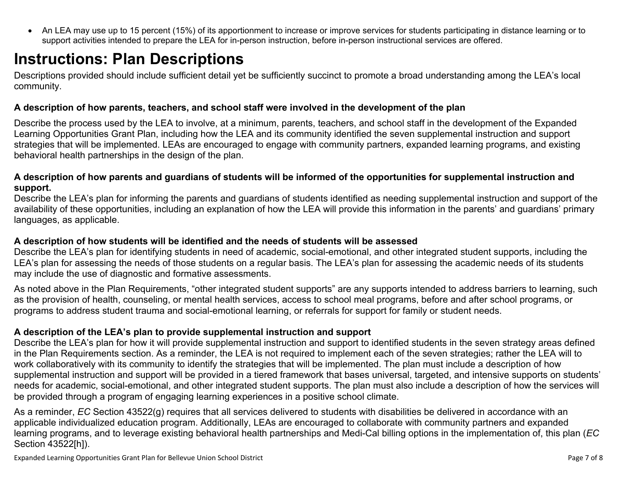<span id="page-6-0"></span> An LEA may use up to 15 percent (15%) of its apportionment to increase or improve services for students participating in distance learning or to support activities intended to prepare the LEA for in-person instruction, before in-person instructional services are offered.

# **Instructions: Plan Descriptions**

Descriptions provided should include sufficient detail yet be sufficiently succinct to promote a broad understanding among the LEA's local community.

#### <span id="page-6-1"></span>**A description of how parents, teachers, and school staff were involved in the development of the plan**

Describe the process used by the LEA to involve, at a minimum, parents, teachers, and school staff in the development of the Expanded Learning Opportunities Grant Plan, including how the LEA and its community identified the seven supplemental instruction and support strategies that will be implemented. LEAs are encouraged to engage with community partners, expanded learning programs, and existing behavioral health partnerships in the design of the plan.

#### <span id="page-6-2"></span>A description of how parents and guardians of students will be informed of the opportunities for supplemental instruction and **support.**

Describe the LEA's plan for informing the parents and guardians of students identified as needing supplemental instruction and support of the availability of these opportunities, including an explanation of how the LEA will provide this information in the parents' and guardians' primary languages, as applicable.

### <span id="page-6-3"></span>**A description of how students will be identified and the needs of students will be assessed**

Describe the LEA's plan for identifying students in need of academic, social-emotional, and other integrated student supports, including the LEA's plan for assessing the needs of those students on a regular basis. The LEA's plan for assessing the academic needs of its students may include the use of diagnostic and formative assessments.

As noted above in the Plan Requirements, "other integrated student supports" are any supports intended to address barriers to learning, such as the provision of health, counseling, or mental health services, access to school meal programs, before and after school programs, or programs to address student trauma and social-emotional learning, or referrals for support for family or student needs.

### <span id="page-6-4"></span>**A description of the LEA's plan to provide supplemental instruction and support**

Describe the LEA's plan for how it will provide supplemental instruction and support to identified students in the seven strategy areas defined in the Plan Requirements section. As a reminder, the LEA is not required to implement each of the seven strategies; rather the LEA will to work collaboratively with its community to identify the strategies that will be implemented. The plan must include a description of how supplemental instruction and support will be provided in a tiered framework that bases universal, targeted, and intensive supports on students' needs for academic, social-emotional, and other integrated student supports. The plan must also include a description of how the services will be provided through a program of engaging learning experiences in a positive school climate.

As a reminder, *EC* Section 43522(g) requires that all services delivered to students with disabilities be delivered in accordance with an applicable individualized education program. Additionally, LEAs are encouraged to collaborate with community partners and expanded learning programs, and to leverage existing behavioral health partnerships and Medi-Cal billing options in the implementation of, this plan (*EC* Section 43522[h]).